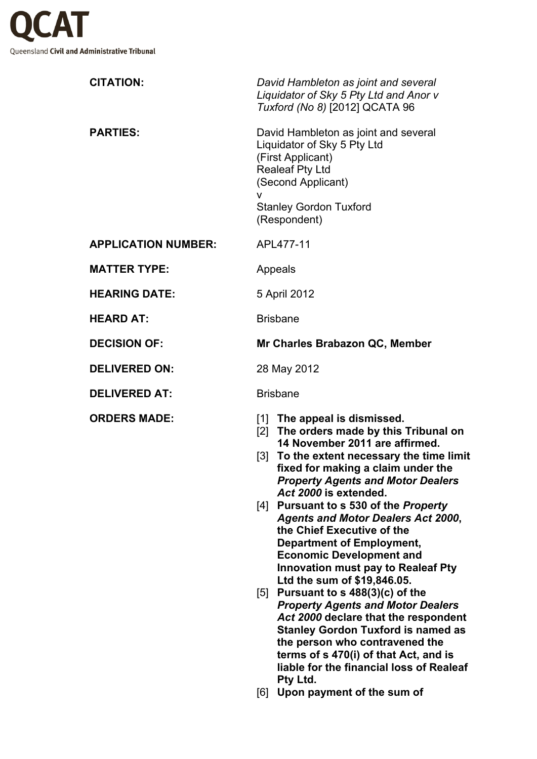

| <b>CITATION:</b>           | David Hambleton as joint and several<br>Liquidator of Sky 5 Pty Ltd and Anor v<br>Tuxford (No 8) [2012] QCATA 96                                                                                                                                                                                                                                                                                                                                                                                                                                                                                                                                                                                                                                                                                                                                      |
|----------------------------|-------------------------------------------------------------------------------------------------------------------------------------------------------------------------------------------------------------------------------------------------------------------------------------------------------------------------------------------------------------------------------------------------------------------------------------------------------------------------------------------------------------------------------------------------------------------------------------------------------------------------------------------------------------------------------------------------------------------------------------------------------------------------------------------------------------------------------------------------------|
| <b>PARTIES:</b>            | David Hambleton as joint and several<br>Liquidator of Sky 5 Pty Ltd<br>(First Applicant)<br><b>Realeaf Pty Ltd</b><br>(Second Applicant)<br>v<br><b>Stanley Gordon Tuxford</b><br>(Respondent)                                                                                                                                                                                                                                                                                                                                                                                                                                                                                                                                                                                                                                                        |
| <b>APPLICATION NUMBER:</b> | APL477-11                                                                                                                                                                                                                                                                                                                                                                                                                                                                                                                                                                                                                                                                                                                                                                                                                                             |
| <b>MATTER TYPE:</b>        | Appeals                                                                                                                                                                                                                                                                                                                                                                                                                                                                                                                                                                                                                                                                                                                                                                                                                                               |
| <b>HEARING DATE:</b>       | 5 April 2012                                                                                                                                                                                                                                                                                                                                                                                                                                                                                                                                                                                                                                                                                                                                                                                                                                          |
| <b>HEARD AT:</b>           | <b>Brisbane</b>                                                                                                                                                                                                                                                                                                                                                                                                                                                                                                                                                                                                                                                                                                                                                                                                                                       |
| <b>DECISION OF:</b>        | Mr Charles Brabazon QC, Member                                                                                                                                                                                                                                                                                                                                                                                                                                                                                                                                                                                                                                                                                                                                                                                                                        |
| <b>DELIVERED ON:</b>       | 28 May 2012                                                                                                                                                                                                                                                                                                                                                                                                                                                                                                                                                                                                                                                                                                                                                                                                                                           |
| <b>DELIVERED AT:</b>       | <b>Brisbane</b>                                                                                                                                                                                                                                                                                                                                                                                                                                                                                                                                                                                                                                                                                                                                                                                                                                       |
| <b>ORDERS MADE:</b>        | [1] The appeal is dismissed.<br>[2] The orders made by this Tribunal on<br>14 November 2011 are affirmed.<br>[3] To the extent necessary the time limit<br>fixed for making a claim under the<br><b>Property Agents and Motor Dealers</b><br>Act 2000 is extended.<br>[4] Pursuant to s 530 of the Property<br><b>Agents and Motor Dealers Act 2000,</b><br>the Chief Executive of the<br><b>Department of Employment,</b><br><b>Economic Development and</b><br><b>Innovation must pay to Realeaf Pty</b><br>Ltd the sum of \$19,846.05.<br>[5] Pursuant to s $488(3)(c)$ of the<br><b>Property Agents and Motor Dealers</b><br>Act 2000 declare that the respondent<br><b>Stanley Gordon Tuxford is named as</b><br>the person who contravened the<br>terms of s 470(i) of that Act, and is<br>liable for the financial loss of Realeaf<br>Pty Ltd. |

[6] **Upon payment of the sum of**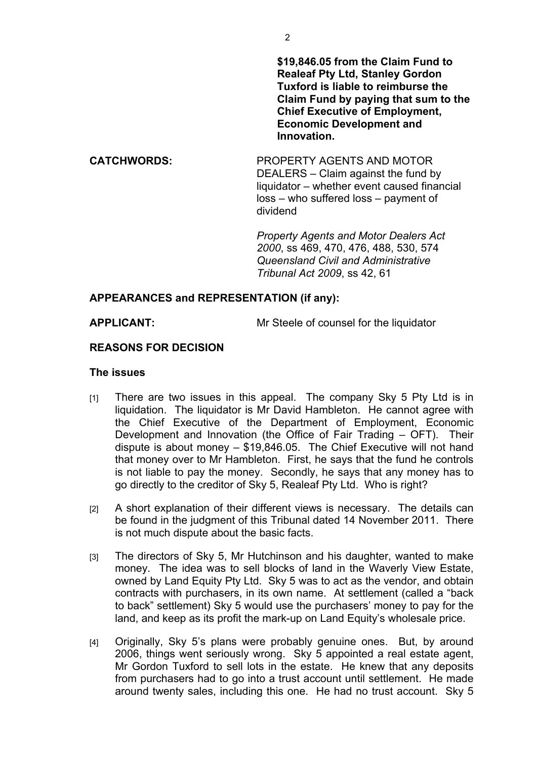**\$19,846.05 from the Claim Fund to Realeaf Pty Ltd, Stanley Gordon Tuxford is liable to reimburse the Claim Fund by paying that sum to the Chief Executive of Employment, Economic Development and Innovation.**

**CATCHWORDS:** PROPERTY AGENTS AND MOTOR DEALERS – Claim against the fund by liquidator – whether event caused financial loss – who suffered loss – payment of dividend

> *Property Agents and Motor Dealers Act 2000*, ss 469, 470, 476, 488, 530, 574 *Queensland Civil and Administrative Tribunal Act 2009*, ss 42, 61

## **APPEARANCES and REPRESENTATION (if any):**

**APPLICANT:** Mr Steele of counsel for the liquidator

## **REASONS FOR DECISION**

## **The issues**

- [1] There are two issues in this appeal. The company Sky 5 Pty Ltd is in liquidation. The liquidator is Mr David Hambleton. He cannot agree with the Chief Executive of the Department of Employment, Economic Development and Innovation (the Office of Fair Trading – OFT). Their dispute is about money – \$19,846.05. The Chief Executive will not hand that money over to Mr Hambleton. First, he says that the fund he controls is not liable to pay the money. Secondly, he says that any money has to go directly to the creditor of Sky 5, Realeaf Pty Ltd. Who is right?
- [2] A short explanation of their different views is necessary. The details can be found in the judgment of this Tribunal dated 14 November 2011. There is not much dispute about the basic facts.
- [3] The directors of Sky 5, Mr Hutchinson and his daughter, wanted to make money. The idea was to sell blocks of land in the Waverly View Estate, owned by Land Equity Pty Ltd. Sky 5 was to act as the vendor, and obtain contracts with purchasers, in its own name. At settlement (called a "back to back" settlement) Sky 5 would use the purchasers' money to pay for the land, and keep as its profit the mark-up on Land Equity's wholesale price.
- [4] Originally, Sky 5's plans were probably genuine ones. But, by around 2006, things went seriously wrong. Sky 5 appointed a real estate agent, Mr Gordon Tuxford to sell lots in the estate. He knew that any deposits from purchasers had to go into a trust account until settlement. He made around twenty sales, including this one. He had no trust account. Sky 5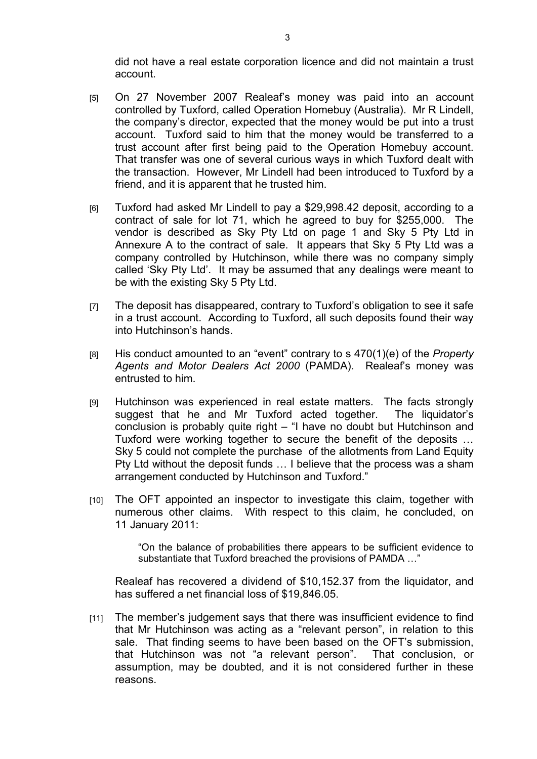did not have a real estate corporation licence and did not maintain a trust account.

- [5] On 27 November 2007 Realeaf's money was paid into an account controlled by Tuxford, called Operation Homebuy (Australia). Mr R Lindell, the company's director, expected that the money would be put into a trust account. Tuxford said to him that the money would be transferred to a trust account after first being paid to the Operation Homebuy account. That transfer was one of several curious ways in which Tuxford dealt with the transaction. However, Mr Lindell had been introduced to Tuxford by a friend, and it is apparent that he trusted him.
- [6] Tuxford had asked Mr Lindell to pay a \$29,998.42 deposit, according to a contract of sale for lot 71, which he agreed to buy for \$255,000. The vendor is described as Sky Pty Ltd on page 1 and Sky 5 Pty Ltd in Annexure A to the contract of sale. It appears that Sky 5 Pty Ltd was a company controlled by Hutchinson, while there was no company simply called 'Sky Pty Ltd'. It may be assumed that any dealings were meant to be with the existing Sky 5 Pty Ltd.
- [7] The deposit has disappeared, contrary to Tuxford's obligation to see it safe in a trust account. According to Tuxford, all such deposits found their way into Hutchinson's hands.
- [8] His conduct amounted to an "event" contrary to s 470(1)(e) of the *Property Agents and Motor Dealers Act 2000* (PAMDA). Realeaf's money was entrusted to him.
- [9] Hutchinson was experienced in real estate matters. The facts strongly suggest that he and Mr Tuxford acted together. The liquidator's conclusion is probably quite right – "I have no doubt but Hutchinson and Tuxford were working together to secure the benefit of the deposits … Sky 5 could not complete the purchase of the allotments from Land Equity Pty Ltd without the deposit funds … I believe that the process was a sham arrangement conducted by Hutchinson and Tuxford."
- [10] The OFT appointed an inspector to investigate this claim, together with numerous other claims. With respect to this claim, he concluded, on 11 January 2011:

"On the balance of probabilities there appears to be sufficient evidence to substantiate that Tuxford breached the provisions of PAMDA …"

Realeaf has recovered a dividend of \$10,152.37 from the liquidator, and has suffered a net financial loss of \$19,846.05.

[11] The member's judgement says that there was insufficient evidence to find that Mr Hutchinson was acting as a "relevant person", in relation to this sale. That finding seems to have been based on the OFT's submission, that Hutchinson was not "a relevant person". That conclusion, or assumption, may be doubted, and it is not considered further in these reasons.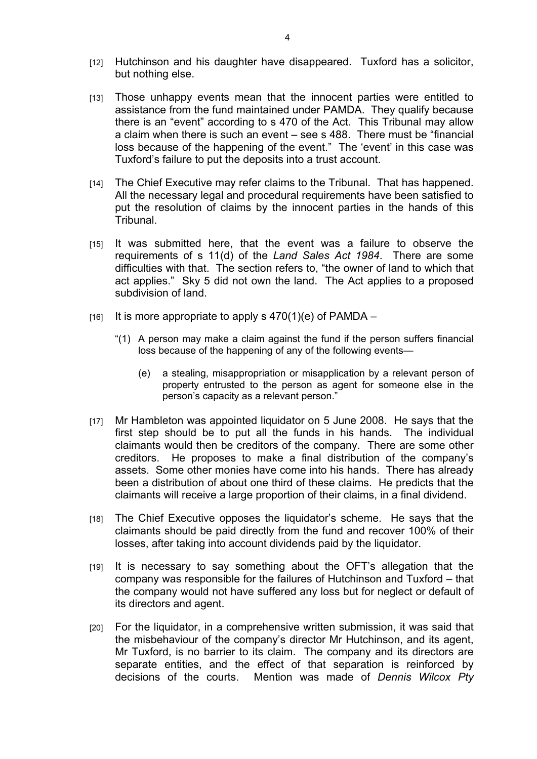- [12] Hutchinson and his daughter have disappeared. Tuxford has a solicitor, but nothing else.
- [13] Those unhappy events mean that the innocent parties were entitled to assistance from the fund maintained under PAMDA. They qualify because there is an "event" according to s 470 of the Act. This Tribunal may allow a claim when there is such an event – see s 488. There must be "financial loss because of the happening of the event." The 'event' in this case was Tuxford's failure to put the deposits into a trust account.
- [14] The Chief Executive may refer claims to the Tribunal. That has happened. All the necessary legal and procedural requirements have been satisfied to put the resolution of claims by the innocent parties in the hands of this Tribunal.
- [15] It was submitted here, that the event was a failure to observe the requirements of s 11(d) of the *Land Sales Act 1984*. There are some difficulties with that. The section refers to, "the owner of land to which that act applies." Sky 5 did not own the land. The Act applies to a proposed subdivision of land.
- $[16]$  It is more appropriate to apply s 470(1)(e) of PAMDA
	- "(1) A person may make a claim against the fund if the person suffers financial loss because of the happening of any of the following events—
		- (e) a stealing, misappropriation or misapplication by a relevant person of property entrusted to the person as agent for someone else in the person's capacity as a relevant person."
- [17] Mr Hambleton was appointed liquidator on 5 June 2008. He says that the first step should be to put all the funds in his hands. The individual claimants would then be creditors of the company. There are some other creditors. He proposes to make a final distribution of the company's assets. Some other monies have come into his hands. There has already been a distribution of about one third of these claims. He predicts that the claimants will receive a large proportion of their claims, in a final dividend.
- [18] The Chief Executive opposes the liquidator's scheme. He says that the claimants should be paid directly from the fund and recover 100% of their losses, after taking into account dividends paid by the liquidator.
- [19] It is necessary to say something about the OFT's allegation that the company was responsible for the failures of Hutchinson and Tuxford – that the company would not have suffered any loss but for neglect or default of its directors and agent.
- [20] For the liquidator, in a comprehensive written submission, it was said that the misbehaviour of the company's director Mr Hutchinson, and its agent, Mr Tuxford, is no barrier to its claim. The company and its directors are separate entities, and the effect of that separation is reinforced by decisions of the courts. Mention was made of *Dennis Wilcox Pty*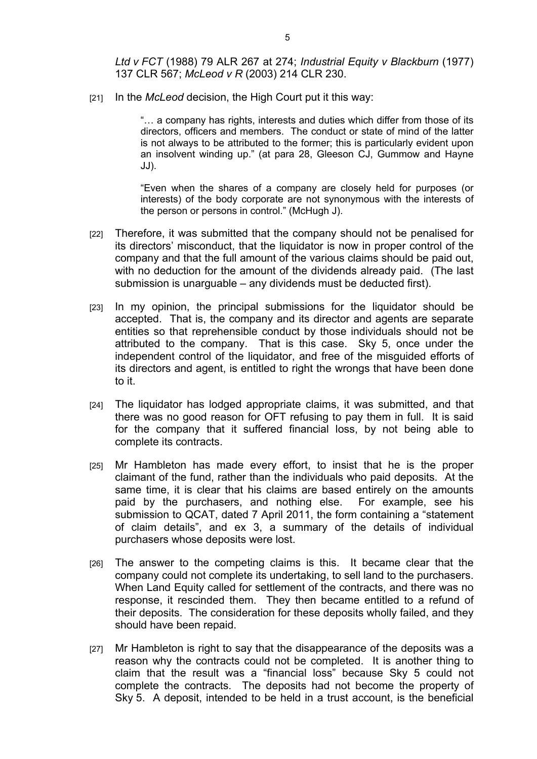*Ltd v FCT* (1988) 79 ALR 267 at 274; *Industrial Equity v Blackburn* (1977) 137 CLR 567; *McLeod v R* (2003) 214 CLR 230.

[21] In the *McLeod* decision, the High Court put it this way:

"… a company has rights, interests and duties which differ from those of its directors, officers and members. The conduct or state of mind of the latter is not always to be attributed to the former; this is particularly evident upon an insolvent winding up." (at para 28, Gleeson CJ, Gummow and Hayne JJ).

"Even when the shares of a company are closely held for purposes (or interests) of the body corporate are not synonymous with the interests of the person or persons in control." (McHugh J).

- [22] Therefore, it was submitted that the company should not be penalised for its directors' misconduct, that the liquidator is now in proper control of the company and that the full amount of the various claims should be paid out, with no deduction for the amount of the dividends already paid. (The last submission is unarguable – any dividends must be deducted first).
- [23] In my opinion, the principal submissions for the liquidator should be accepted. That is, the company and its director and agents are separate entities so that reprehensible conduct by those individuals should not be attributed to the company. That is this case. Sky 5, once under the independent control of the liquidator, and free of the misguided efforts of its directors and agent, is entitled to right the wrongs that have been done to it.
- [24] The liquidator has lodged appropriate claims, it was submitted, and that there was no good reason for OFT refusing to pay them in full. It is said for the company that it suffered financial loss, by not being able to complete its contracts.
- [25] Mr Hambleton has made every effort, to insist that he is the proper claimant of the fund, rather than the individuals who paid deposits. At the same time, it is clear that his claims are based entirely on the amounts paid by the purchasers, and nothing else. For example, see his submission to QCAT, dated 7 April 2011, the form containing a "statement of claim details", and ex 3, a summary of the details of individual purchasers whose deposits were lost.
- [26] The answer to the competing claims is this. It became clear that the company could not complete its undertaking, to sell land to the purchasers. When Land Equity called for settlement of the contracts, and there was no response, it rescinded them. They then became entitled to a refund of their deposits. The consideration for these deposits wholly failed, and they should have been repaid.
- [27] Mr Hambleton is right to say that the disappearance of the deposits was a reason why the contracts could not be completed. It is another thing to claim that the result was a "financial loss" because Sky 5 could not complete the contracts. The deposits had not become the property of Sky 5. A deposit, intended to be held in a trust account, is the beneficial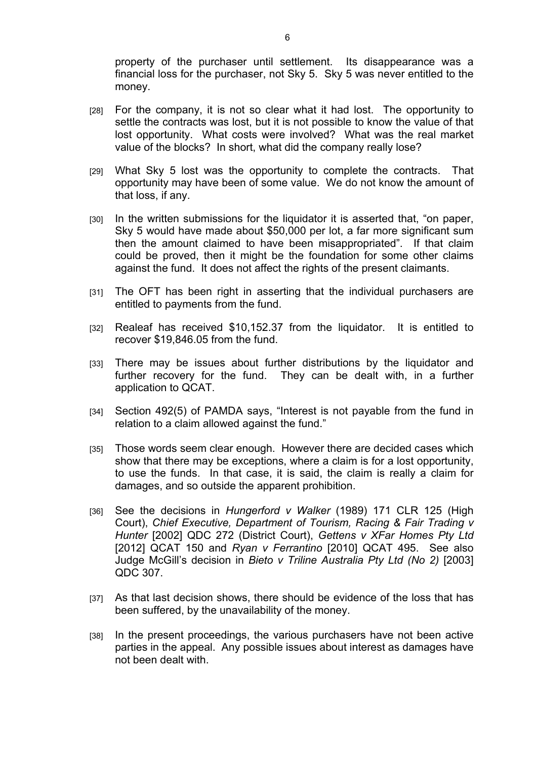property of the purchaser until settlement. Its disappearance was a financial loss for the purchaser, not Sky 5. Sky 5 was never entitled to the money.

- [28] For the company, it is not so clear what it had lost. The opportunity to settle the contracts was lost, but it is not possible to know the value of that lost opportunity. What costs were involved? What was the real market value of the blocks? In short, what did the company really lose?
- [29] What Sky 5 lost was the opportunity to complete the contracts. That opportunity may have been of some value. We do not know the amount of that loss, if any.
- [30] In the written submissions for the liquidator it is asserted that, "on paper, Sky 5 would have made about \$50,000 per lot, a far more significant sum then the amount claimed to have been misappropriated". If that claim could be proved, then it might be the foundation for some other claims against the fund. It does not affect the rights of the present claimants.
- [31] The OFT has been right in asserting that the individual purchasers are entitled to payments from the fund.
- [32] Realeaf has received \$10,152.37 from the liquidator. It is entitled to recover \$19,846.05 from the fund.
- [33] There may be issues about further distributions by the liquidator and further recovery for the fund. They can be dealt with, in a further application to QCAT.
- [34] Section 492(5) of PAMDA says, "Interest is not payable from the fund in relation to a claim allowed against the fund."
- [35] Those words seem clear enough. However there are decided cases which show that there may be exceptions, where a claim is for a lost opportunity, to use the funds. In that case, it is said, the claim is really a claim for damages, and so outside the apparent prohibition.
- [36] See the decisions in *Hungerford v Walker* (1989) 171 CLR 125 (High Court), *Chief Executive, Department of Tourism, Racing & Fair Trading v Hunter* [2002] QDC 272 (District Court), *Gettens v XFar Homes Pty Ltd* [2012] QCAT 150 and *Ryan v Ferrantino* [2010] QCAT 495. See also Judge McGill's decision in *Bieto v Triline Australia Pty Ltd (No 2)* [2003] QDC 307.
- [37] As that last decision shows, there should be evidence of the loss that has been suffered, by the unavailability of the money.
- [38] In the present proceedings, the various purchasers have not been active parties in the appeal. Any possible issues about interest as damages have not been dealt with.